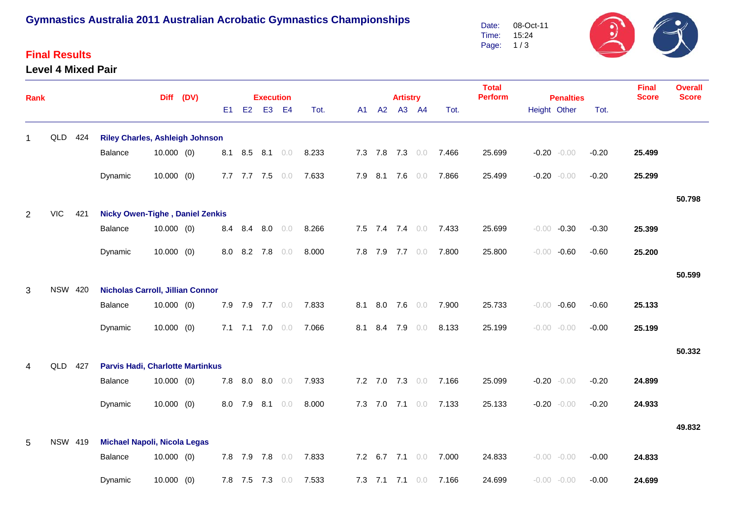## **Gymnastics Australia 2011 Australian Acrobatic Gymnastics Championships**

### **Final Results**

#### **Level 4 Mixed Pair**



| Rank           |                |                |                                         |              | Diff (DV) |     |             | <b>Execution</b> |                 |       |     |         | <b>Final</b><br><b>Score</b> | <b>Overall</b><br><b>Score</b> |                       |                |                                  |         |        |        |
|----------------|----------------|----------------|-----------------------------------------|--------------|-----------|-----|-------------|------------------|-----------------|-------|-----|---------|------------------------------|--------------------------------|-----------------------|----------------|----------------------------------|---------|--------|--------|
|                |                |                |                                         |              |           | E1  | E2          |                  | E3 E4           | Tot.  | A1  | A2      | <b>Artistry</b>              | A3 A4                          | Tot.                  | <b>Perform</b> | <b>Penalties</b><br>Height Other | Tot.    |        |        |
| 1              | QLD            | 424            | <b>Riley Charles, Ashleigh Johnson</b>  |              |           |     |             |                  |                 |       |     |         |                              |                                |                       |                |                                  |         |        |        |
|                |                |                | Balance                                 | $10.000$ (0) |           |     |             |                  | 8.1 8.5 8.1 0.0 | 8.233 |     |         | 7.3 7.8 7.3 0.0              |                                | 7.466                 | 25.699         | $-0.20 - 0.00$                   | $-0.20$ | 25.499 |        |
|                |                |                | Dynamic                                 | $10.000$ (0) |           |     |             | 7.7 7.7 7.5      | 0.0             | 7.633 |     | 7.9 8.1 | 7.6                          | 0.0                            | 7.866                 | 25.499         | $-0.20 - 0.00$                   | $-0.20$ | 25.299 |        |
|                |                |                |                                         |              |           |     |             |                  |                 |       |     |         |                              |                                |                       |                |                                  |         |        | 50.798 |
| $\overline{2}$ | <b>VIC</b>     | 421            | <b>Nicky Owen-Tighe, Daniel Zenkis</b>  |              |           |     |             |                  |                 |       |     |         |                              |                                |                       |                |                                  |         |        |        |
|                |                |                | Balance                                 | $10.000$ (0) |           |     | 8.4 8.4     |                  | $8.0\quad 0.0$  | 8.266 |     |         |                              | 7.5 7.4 7.4 0.0                | 7.433                 | 25.699         | $-0.00 -0.30$                    | $-0.30$ | 25.399 |        |
|                |                |                | Dynamic                                 | $10.000$ (0) |           | 8.0 | 8.2         | 7.8              | 0.0             | 8.000 |     | 7.8 7.9 |                              | 7.7 0.0                        | 7.800                 | 25.800         | $-0.00 - 0.60$                   | $-0.60$ | 25.200 |        |
|                |                |                |                                         |              |           |     |             |                  |                 |       |     |         |                              |                                |                       |                |                                  |         |        | 50.599 |
| 3              | <b>NSW 420</b> |                | <b>Nicholas Carroll, Jillian Connor</b> |              |           |     |             |                  |                 |       |     |         |                              |                                |                       |                |                                  |         |        |        |
|                |                |                | Balance                                 | $10.000$ (0) |           |     |             |                  | 7.9 7.9 7.7 0.0 | 7.833 | 8.1 | 8.0     |                              | 7.6 0.0                        | 7.900                 | 25.733         | $-0.00 - 0.60$                   | $-0.60$ | 25.133 |        |
|                |                |                | Dynamic                                 | $10.000$ (0) |           |     | $7.1$ $7.1$ | 7.0              | 0.0             | 7.066 | 8.1 | 8.4     | 7.9                          | 0.0                            | 8.133                 | 25.199         | $-0.00 - 0.00$                   | $-0.00$ | 25.199 |        |
|                |                |                |                                         |              |           |     |             |                  |                 |       |     |         |                              |                                |                       |                |                                  |         |        | 50.332 |
| 4              | QLD            | 427            | <b>Parvis Hadi, Charlotte Martinkus</b> |              |           |     |             |                  |                 |       |     |         |                              |                                |                       |                |                                  |         |        |        |
|                |                |                | Balance                                 | $10.000$ (0) |           |     |             |                  | 7.8 8.0 8.0 0.0 | 7.933 |     |         |                              |                                | 7.2 7.0 7.3 0.0 7.166 | 25.099         | $-0.20 - 0.00$                   | $-0.20$ | 24.899 |        |
|                |                |                | Dynamic                                 | $10.000$ (0) |           |     | 8.0 7.9     | 8.1              | 0.0             | 8.000 |     | 7.3 7.0 | 7.1                          | 0.0                            | 7.133                 | 25.133         | $-0.20 - 0.00$                   | $-0.20$ | 24.933 |        |
|                |                |                |                                         |              |           |     |             |                  |                 |       |     |         |                              |                                |                       |                |                                  |         |        | 49.832 |
| 5              |                | <b>NSW 419</b> | <b>Michael Napoli, Nicola Legas</b>     |              |           |     |             |                  |                 |       |     |         |                              |                                |                       |                |                                  |         |        |        |
|                |                |                | Balance                                 | 10.000(0)    |           |     |             | 7.8 7.9 7.8      | 0.0             | 7.833 |     | 7.2 6.7 | 7.1                          | 0.0                            | 7.000                 | 24.833         | $-0.00 - 0.00$                   | $-0.00$ | 24.833 |        |
|                |                |                | Dynamic                                 | $10.000$ (0) |           |     |             | 7.8 7.5 7.3      | 0.0             | 7.533 |     |         | 7.3 7.1 7.1                  | 0.0                            | 7.166                 | 24.699         | $-0.00 - 0.00$                   | $-0.00$ | 24.699 |        |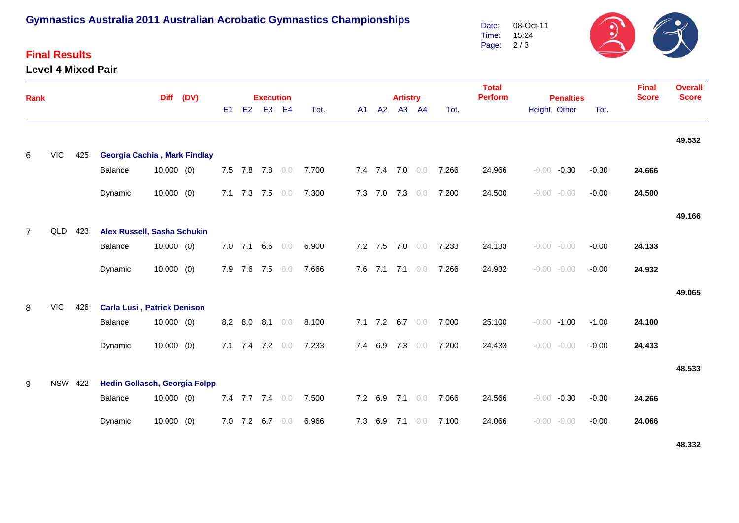# **Gymnastics Australia 2011 Australian Acrobatic Gymnastics Championships**

### **Final Results**

#### **Level 4 Mixed Pair**



| <b>Rank</b>    |            | <b>Diff</b>                                            |                                     |              | (DV) |    |             | <b>Execution</b> |     |       |    |                 | <b>Artistry</b> |       |       | <b>Total</b><br><b>Perform</b> |              | <b>Final</b><br><b>Score</b> | <b>Overall</b><br><b>Score</b> |        |        |
|----------------|------------|--------------------------------------------------------|-------------------------------------|--------------|------|----|-------------|------------------|-----|-------|----|-----------------|-----------------|-------|-------|--------------------------------|--------------|------------------------------|--------------------------------|--------|--------|
|                |            |                                                        |                                     |              |      | E1 | E2          | E <sub>3</sub>   | E4  | Tot.  | A1 | A2              |                 | A3 A4 | Tot.  |                                | Height Other | <b>Penalties</b>             | Tot.                           |        |        |
|                |            |                                                        |                                     |              |      |    |             |                  |     |       |    |                 |                 |       |       |                                |              |                              |                                |        | 49.532 |
| 6              | <b>VIC</b> | 425                                                    | <b>Georgia Cachia, Mark Findlay</b> |              |      |    |             |                  |     |       |    |                 |                 |       |       |                                |              |                              |                                |        |        |
|                |            |                                                        | Balance                             | $10.000$ (0) |      |    |             | 7.5 7.8 7.8 0.0  |     | 7.700 |    | 7.4 7.4 7.0 0.0 |                 |       | 7.266 | 24.966                         | $-0.00$      | $-0.30$                      | $-0.30$                        | 24.666 |        |
|                |            |                                                        | Dynamic                             | 10.000(0)    |      |    | 7.1 7.3 7.5 |                  | 0.0 | 7.300 |    | 7.3 7.0 7.3 0.0 |                 |       | 7.200 | 24.500                         |              | $-0.00 - 0.00$               | $-0.00$                        | 24.500 |        |
|                |            |                                                        |                                     |              |      |    |             |                  |     |       |    |                 |                 |       |       |                                |              |                              |                                |        | 49.166 |
| $\overline{7}$ | QLD 423    |                                                        | Alex Russell, Sasha Schukin         |              |      |    |             |                  |     |       |    |                 |                 |       |       |                                |              |                              |                                |        |        |
|                |            |                                                        | Balance                             | $10.000$ (0) |      |    |             | 7.0 7.1 6.6 0.0  |     | 6.900 |    | 7.2 7.5 7.0 0.0 |                 |       | 7.233 | 24.133                         |              | $-0.00 - 0.00$               | $-0.00$                        | 24.133 |        |
|                |            |                                                        | Dynamic                             | $10.000$ (0) |      |    |             | 7.9 7.6 7.5 0.0  |     | 7.666 |    | 7.6 7.1 7.1 0.0 |                 |       | 7.266 | 24.932                         |              | $-0.00 - 0.00$               | $-0.00$                        | 24.932 |        |
|                |            |                                                        |                                     |              |      |    |             |                  |     |       |    |                 |                 |       |       |                                |              |                              |                                |        | 49.065 |
| 8              | <b>VIC</b> | 426                                                    | <b>Carla Lusi, Patrick Denison</b>  |              |      |    |             |                  |     |       |    |                 |                 |       |       |                                |              |                              |                                |        |        |
|                |            |                                                        | Balance                             | $10.000$ (0) |      |    | 8.2 8.0     | $8.1\quad 0.0$   |     | 8.100 |    | 7.1 7.2 6.7 0.0 |                 |       | 7.000 | 25.100                         |              | $-0.00 - 1.00$               | $-1.00$                        | 24.100 |        |
|                |            |                                                        | Dynamic                             | $10.000$ (0) |      |    |             | 7.1 7.4 7.2 0.0  |     | 7.233 |    | 7.4 6.9         | $7.3\quad 0.0$  |       | 7.200 | 24.433                         |              | $-0.00 - 0.00$               | $-0.00$                        | 24.433 |        |
|                |            |                                                        |                                     |              |      |    |             |                  |     |       |    |                 |                 |       |       |                                |              |                              |                                |        | 48.533 |
| 9              |            | <b>NSW 422</b><br><b>Hedin Gollasch, Georgia Folpp</b> |                                     |              |      |    |             |                  |     |       |    |                 |                 |       |       |                                |              |                              |                                |        |        |
|                |            |                                                        | Balance                             | $10.000$ (0) |      |    |             | 7.4 7.7 7.4 0.0  |     | 7.500 |    | 7.2 6.9         | $7.1 \t0.0$     |       | 7.066 | 24.566                         | $-0.00$      | $-0.30$                      | $-0.30$                        | 24.266 |        |
|                |            |                                                        | Dynamic                             | $10.000$ (0) |      |    |             | 7.0 7.2 6.7 0.0  |     | 6.966 |    | 7.3 6.9         | $7.1 \t0.0$     |       | 7.100 | 24.066                         |              | $-0.00 - 0.00$               | $-0.00$                        | 24.066 |        |

**48.332**